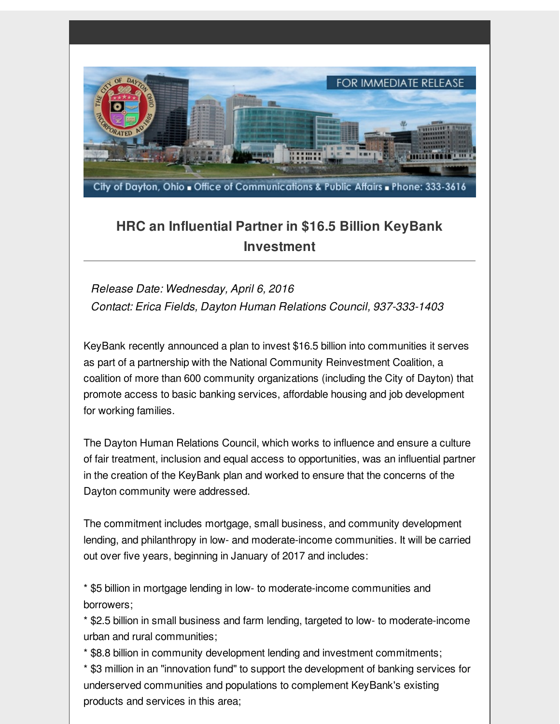

## **HRC an Influential Partner in \$16.5 Billion KeyBank Investment**

*Release Date: Wednesday, April 6, 2016 Contact: Erica Fields, Dayton Human Relations Council, 937-333-1403*

KeyBank recently announced a plan to invest \$16.5 billion into communities it serves as part of a partnership with the National Community Reinvestment Coalition, a coalition of more than 600 community organizations (including the City of Dayton) that promote access to basic banking services, affordable housing and job development for working families.

The Dayton Human Relations Council, which works to influence and ensure a culture of fair treatment, inclusion and equal access to opportunities, was an influential partner in the creation of the KeyBank plan and worked to ensure that the concerns of the Dayton community were addressed.

The commitment includes mortgage, small business, and community development lending, and philanthropy in low- and moderate-income communities. It will be carried out over five years, beginning in January of 2017 and includes:

\* \$5 billion in mortgage lending in low- to moderate-income communities and borrowers;

\* \$2.5 billion in small business and farm lending, targeted to low- to moderate-income urban and rural communities;

\* \$8.8 billion in community development lending and investment commitments;

\* \$3 million in an "innovation fund" to support the development of banking services for underserved communities and populations to complement KeyBank's existing products and services in this area;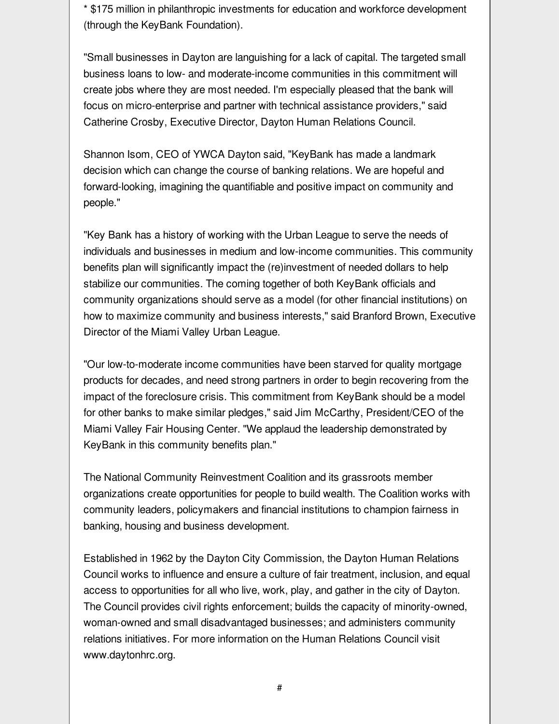\* \$175 million in philanthropic investments for education and workforce development (through the KeyBank Foundation).

"Small businesses in Dayton are languishing for a lack of capital. The targeted small business loans to low- and moderate-income communities in this commitment will create jobs where they are most needed. I'm especially pleased that the bank will focus on micro-enterprise and partner with technical assistance providers," said Catherine Crosby, Executive Director, Dayton Human Relations Council.

Shannon Isom, CEO of YWCA Dayton said, "KeyBank has made a landmark decision which can change the course of banking relations. We are hopeful and forward-looking, imagining the quantifiable and positive impact on community and people."

"Key Bank has a history of working with the Urban League to serve the needs of individuals and businesses in medium and low-income communities. This community benefits plan will significantly impact the (re)investment of needed dollars to help stabilize our communities. The coming together of both KeyBank officials and community organizations should serve as a model (for other financial institutions) on how to maximize community and business interests," said Branford Brown, Executive Director of the Miami Valley Urban League.

"Our low-to-moderate income communities have been starved for quality mortgage products for decades, and need strong partners in order to begin recovering from the impact of the foreclosure crisis. This commitment from KeyBank should be a model for other banks to make similar pledges," said Jim McCarthy, President/CEO of the Miami Valley Fair Housing Center. "We applaud the leadership demonstrated by KeyBank in this community benefits plan."

The National Community Reinvestment Coalition and its grassroots member organizations create opportunities for people to build wealth. The Coalition works with community leaders, policymakers and financial institutions to champion fairness in banking, housing and business development.

Established in 1962 by the Dayton City Commission, the Dayton Human Relations Council works to influence and ensure a culture of fair treatment, inclusion, and equal access to opportunities for all who live, work, play, and gather in the city of Dayton. The Council provides civil rights enforcement; builds the capacity of minority-owned, woman-owned and small disadvantaged businesses; and administers community relations initiatives. For more information on the Human Relations Council visit www.daytonhrc.org.